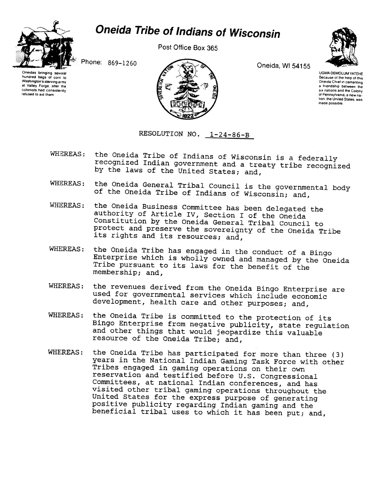

## Oneida Tribe of Indians of Wisconsin

Post Office Box 365



Oneidas bringing several hundred bags of corn to Washington's starving army al Valley Forge. after the colonists had consistently refused to aid them.



UGWA DEMOLUM YATEHE Because Of the help of this Oneida Chief in cementing a friendship between the SIX nations and the Colony 01 Pennsylvania. a new nalion. the United Slates. was made possible

RESOLUTION NO. 1-24-86-B

- WHEREAS: the Oneida Tribe of Indians of Wisconsin is a federally recognized Indian government and a treaty tribe recognized by the laws of the United States; and,
- WHEREAS: the Oneida General Tribal Council is the governmental body of the Oneida Tribe of Indians of Wisconsin; and,
- WHEREAS: the Oneida Business Committee has been delegated the authority of Article IV, Section I of the Oneida Constitution by the Oneida General Tribal Council to protect and preserve the sovereignty of the Oneida Tribe its rights and its resources; and,
- WHEREAS: the Oneida Tribe has engaged in the conduct of a Bingo Enterprise which is wholly owned and managed by the Oneida Tribe pursuant to its laws for the benefit of the membership; and,
- WHEREAS: the revenues derived from the Oneida Bingo Enterprise are used for governmental services which include economic development, health care and other purposes; and,
- WHEREAS: the Oneida Tribe is committed to the protection of its Bingo Enterprise from negative publicity, state regulation and other things that would jeopardize this valuable resource of the Oneida Tribe; and,
- WHEREAS: the Oneida Tribe has participated for more than three (3) years in the National Indian Gaming Task Force with other Tribes engaged in gaming operations on their own reservation and testified before U.S. Congressional Committees, at national Indian conferences, and has visited other tribal gaming operations throughout the United States for the express purpose of generating positive publicity regarding Indian gaming and the beneficial tribal uses to which it has been put; and,